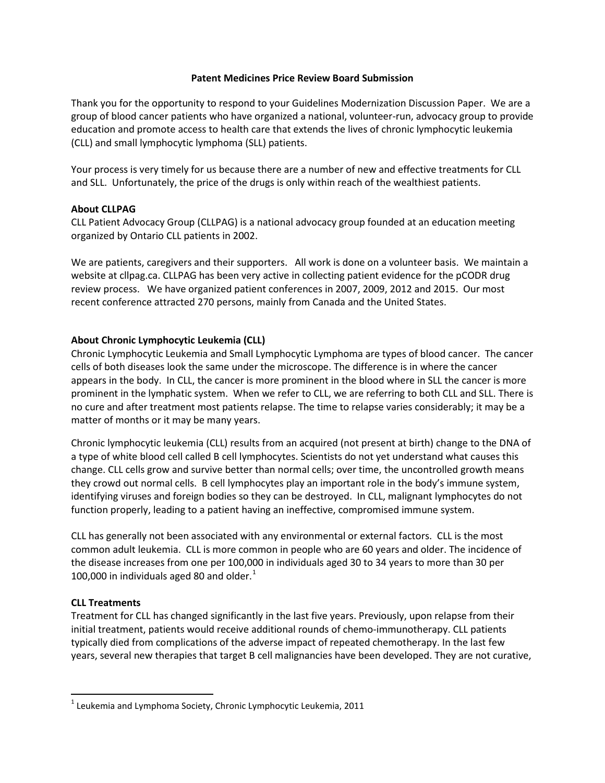#### **Patent Medicines Price Review Board Submission**

Thank you for the opportunity to respond to your Guidelines Modernization Discussion Paper. We are a group of blood cancer patients who have organized a national, volunteer-run, advocacy group to provide education and promote access to health care that extends the lives of chronic lymphocytic leukemia (CLL) and small lymphocytic lymphoma (SLL) patients.

Your process is very timely for us because there are a number of new and effective treatments for CLL and SLL. Unfortunately, the price of the drugs is only within reach of the wealthiest patients.

## **About CLLPAG**

CLL Patient Advocacy Group (CLLPAG) is a national advocacy group founded at an education meeting organized by Ontario CLL patients in 2002.

We are patients, caregivers and their supporters. All work is done on a volunteer basis. We maintain a website at cllpag.ca. CLLPAG has been very active in collecting patient evidence for the pCODR drug review process. We have organized patient conferences in 2007, 2009, 2012 and 2015. Our most recent conference attracted 270 persons, mainly from Canada and the United States.

## **About Chronic Lymphocytic Leukemia (CLL)**

Chronic Lymphocytic Leukemia and Small Lymphocytic Lymphoma are types of blood cancer. The cancer cells of both diseases look the same under the microscope. The difference is in where the cancer appears in the body. In CLL, the cancer is more prominent in the blood where in SLL the cancer is more prominent in the lymphatic system. When we refer to CLL, we are referring to both CLL and SLL. There is no cure and after treatment most patients relapse. The time to relapse varies considerably; it may be a matter of months or it may be many years.

Chronic lymphocytic leukemia (CLL) results from an acquired (not present at birth) change to the DNA of a type of white blood cell called B cell lymphocytes. Scientists do not yet understand what causes this change. CLL cells grow and survive better than normal cells; over time, the uncontrolled growth means they crowd out normal cells. B cell lymphocytes play an important role in the body's immune system, identifying viruses and foreign bodies so they can be destroyed. In CLL, malignant lymphocytes do not function properly, leading to a patient having an ineffective, compromised immune system.

CLL has generally not been associated with any environmental or external factors. CLL is the most common adult leukemia. CLL is more common in people who are 60 years and older. The incidence of the disease increases from one per 100,000 in individuals aged 30 to 34 years to more than 30 per [1](#page-0-0)00,000 in individuals aged 80 and older. $<sup>1</sup>$ </sup>

# **CLL Treatments**

Treatment for CLL has changed significantly in the last five years. Previously, upon relapse from their initial treatment, patients would receive additional rounds of chemo-immunotherapy. CLL patients typically died from complications of the adverse impact of repeated chemotherapy. In the last few years, several new therapies that target B cell malignancies have been developed. They are not curative,

<span id="page-0-0"></span> $1$  Leukemia and Lymphoma Society, Chronic Lymphocytic Leukemia, 2011